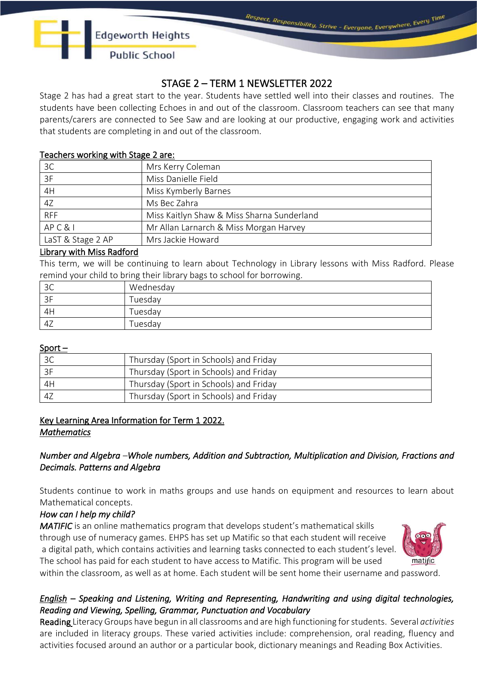# STAGE 2 – TERM 1 NEWSLETTER 2022

 $\overline{a}$ j

Stage 2 has had a great start to the year. Students have settled well into their classes and routines. The students have been collecting Echoes in and out of the classroom. Classroom teachers can see that many parents/carers are connected to See Saw and are looking at our productive, engaging work and activities that students are completing in and out of the classroom.

### Teachers working with Stage 2 are:

| 3C                | Mrs Kerry Coleman                          |  |
|-------------------|--------------------------------------------|--|
| 3F                | Miss Danielle Field                        |  |
| 4H                | Miss Kymberly Barnes                       |  |
| 4Z                | Ms Bec Zahra                               |  |
| <b>RFF</b>        | Miss Kaitlyn Shaw & Miss Sharna Sunderland |  |
| APC&I             | Mr Allan Larnarch & Miss Morgan Harvey     |  |
| LaST & Stage 2 AP | Mrs Jackie Howard                          |  |

### Library with Miss Radford

This term, we will be continuing to learn about Technology in Library lessons with Miss Radford. Please remind your child to bring their library bags to school for borrowing.

| 3C | Wednesday      |
|----|----------------|
| 3F | <b>Tuesday</b> |
| 4H | Tuesdav        |
| 4Z | Tuesday        |

### Sport –

|      | Thursday (Sport in Schools) and Friday |
|------|----------------------------------------|
| 3F   | Thursday (Sport in Schools) and Friday |
| 4H   | Thursday (Sport in Schools) and Friday |
| ' 4Z | Thursday (Sport in Schools) and Friday |

### Key Learning Area Information for Term 1 2022. *Mathematics*

### *Number and Algebra –Whole numbers, Addition and Subtraction, Multiplication and Division, Fractions and Decimals. Patterns and Algebra*

Students continue to work in maths groups and use hands on equipment and resources to learn about Mathematical concepts.

## *How can I help my child?*

*MATIFIC* is an online mathematics program that develops student's mathematical skills through use of numeracy games. EHPS has set up Matific so that each student will receive a digital path, which contains activities and learning tasks connected to each student's level. The school has paid for each student to have access to Matific. This program will be used within the classroom, as well as at home. Each student will be sent home their username and password.



### *English – Speaking and Listening, Writing and Representing, Handwriting and using digital technologies, Reading and Viewing, Spelling, Grammar, Punctuation and Vocabulary*

ReadingLiteracy Groups have begun in all classrooms and are high functioning for students. Several *activities* are included in literacy groups. These varied activities include: comprehension, oral reading, fluency and activities focused around an author or a particular book, dictionary meanings and Reading Box Activities.